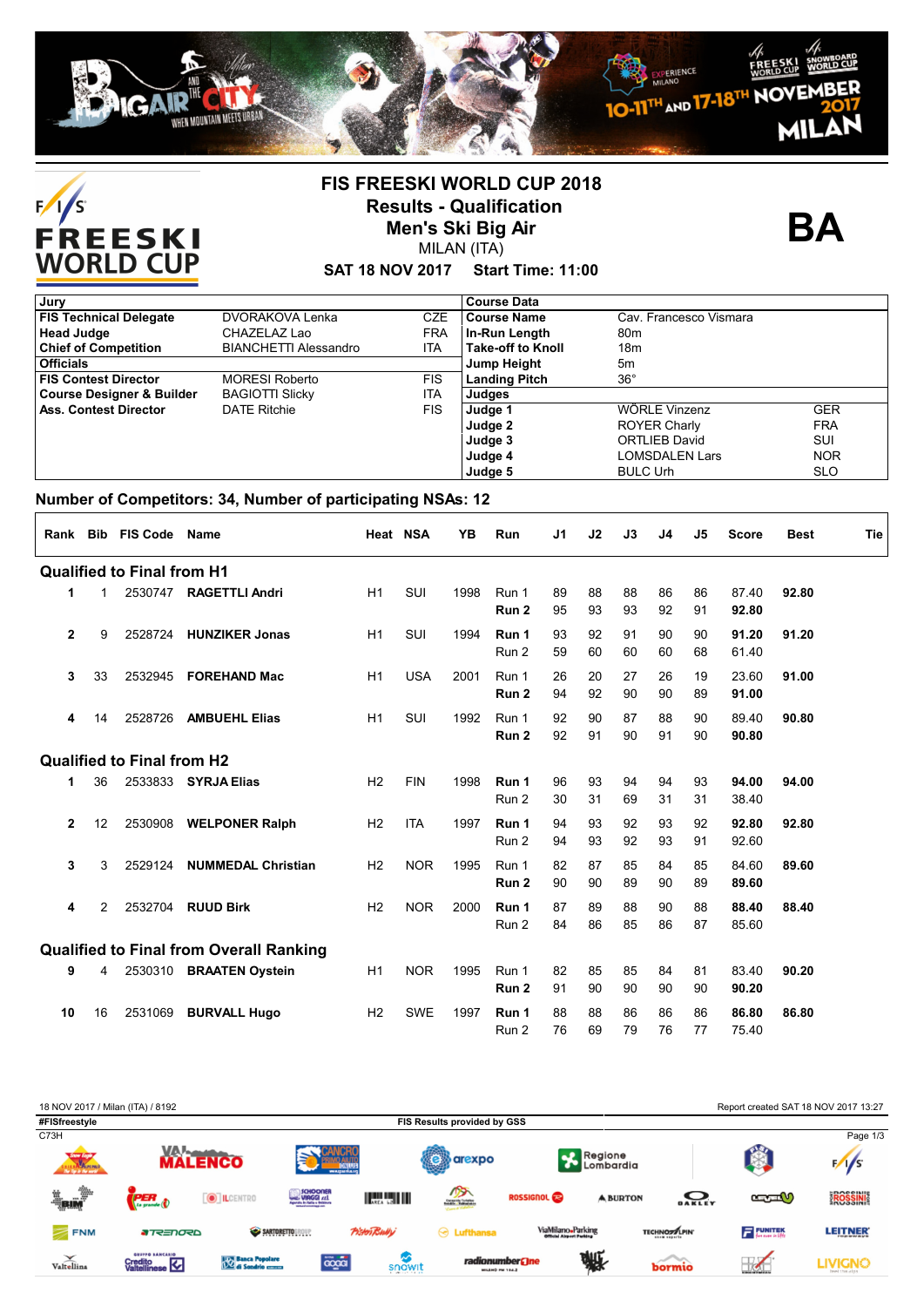



### **FIS FREESKI WORLD CUP 2018 Results - Qualification Men's Ski Big Air** MILAN (ITA)

**BA**

#### **SAT 18 NOV 2017 Start Time: 11:00**

| Jury                                 |                              |            | <b>Course Data</b>       |                        |            |
|--------------------------------------|------------------------------|------------|--------------------------|------------------------|------------|
| <b>FIS Technical Delegate</b>        | DVORAKOVA Lenka              | <b>CZE</b> | Course Name              | Cav. Francesco Vismara |            |
| <b>Head Judge</b>                    | CHAZELAZ Lao                 | <b>FRA</b> | In-Run Length            | 80 <sub>m</sub>        |            |
| <b>Chief of Competition</b>          | <b>BIANCHETTI Alessandro</b> | ITA        | <b>Take-off to Knoll</b> | 18m                    |            |
| <b>Officials</b>                     |                              |            | <b>Jump Height</b>       | 5m                     |            |
| <b>FIS Contest Director</b>          | <b>MORESI Roberto</b>        | <b>FIS</b> | <b>Landing Pitch</b>     | $36^{\circ}$           |            |
| <b>Course Designer &amp; Builder</b> | <b>BAGIOTTI Slicky</b>       | <b>ITA</b> | Judges                   |                        |            |
| <b>Ass. Contest Director</b>         | <b>DATE Ritchie</b>          | <b>FIS</b> | Judge 1                  | WÖRLE Vinzenz          | <b>GER</b> |
|                                      |                              |            | Judge 2                  | <b>ROYER Charly</b>    | <b>FRA</b> |
|                                      |                              |            | Judge 3                  | <b>ORTLIEB David</b>   | SUI        |
|                                      |                              |            | Judge 4                  | LOMSDALEN Lars         | <b>NOR</b> |
|                                      |                              |            | Judge 5                  | <b>BULC Urh</b>        | <b>SLO</b> |

### **Number of Competitors: 34, Number of participating NSAs: 12**

| Rank         | Bib | <b>FIS Code Name</b>              |                                                |                | Heat NSA   | YB   | Run                       | J1       | J2       | J3       | J4       | J5       | <b>Score</b>   | <b>Best</b> | Tie |
|--------------|-----|-----------------------------------|------------------------------------------------|----------------|------------|------|---------------------------|----------|----------|----------|----------|----------|----------------|-------------|-----|
|              |     | <b>Qualified to Final from H1</b> |                                                |                |            |      |                           |          |          |          |          |          |                |             |     |
| 1            | 1   |                                   | 2530747 RAGETTLI Andri                         | H1             | SUI        | 1998 | Run 1<br>Run <sub>2</sub> | 89<br>95 | 88<br>93 | 88<br>93 | 86<br>92 | 86<br>91 | 87.40<br>92.80 | 92.80       |     |
| 2            | 9   |                                   | 2528724 HUNZIKER Jonas                         | H1             | SUI        | 1994 | Run 1<br>Run 2            | 93<br>59 | 92<br>60 | 91<br>60 | 90<br>60 | 90<br>68 | 91.20<br>61.40 | 91.20       |     |
| 3            | 33  | 2532945                           | <b>FOREHAND Mac</b>                            | H1             | <b>USA</b> | 2001 | Run 1<br>Run 2            | 26<br>94 | 20<br>92 | 27<br>90 | 26<br>90 | 19<br>89 | 23.60<br>91.00 | 91.00       |     |
| 4            | 14  | 2528726                           | <b>AMBUEHL Elias</b>                           | H1             | SUI        | 1992 | Run 1<br>Run 2            | 92<br>92 | 90<br>91 | 87<br>90 | 88<br>91 | 90<br>90 | 89.40<br>90.80 | 90.80       |     |
|              |     | <b>Qualified to Final from H2</b> |                                                |                |            |      |                           |          |          |          |          |          |                |             |     |
| 1            | 36  | 2533833                           | <b>SYRJA Elias</b>                             | H <sub>2</sub> | <b>FIN</b> | 1998 | Run 1<br>Run 2            | 96<br>30 | 93<br>31 | 94<br>69 | 94<br>31 | 93<br>31 | 94.00<br>38.40 | 94.00       |     |
| $\mathbf{2}$ | 12  | 2530908                           | <b>WELPONER Ralph</b>                          | H <sub>2</sub> | <b>ITA</b> | 1997 | Run 1<br>Run 2            | 94<br>94 | 93<br>93 | 92<br>92 | 93<br>93 | 92<br>91 | 92.80<br>92.60 | 92.80       |     |
| 3            | 3   | 2529124                           | <b>NUMMEDAL Christian</b>                      | H <sub>2</sub> | <b>NOR</b> | 1995 | Run 1<br>Run 2            | 82<br>90 | 87<br>90 | 85<br>89 | 84<br>90 | 85<br>89 | 84.60<br>89.60 | 89.60       |     |
| 4            | 2   | 2532704                           | <b>RUUD Birk</b>                               | H <sub>2</sub> | <b>NOR</b> | 2000 | Run 1<br>Run 2            | 87<br>84 | 89<br>86 | 88<br>85 | 90<br>86 | 88<br>87 | 88.40<br>85.60 | 88.40       |     |
|              |     |                                   | <b>Qualified to Final from Overall Ranking</b> |                |            |      |                           |          |          |          |          |          |                |             |     |
| 9            | 4   |                                   | 2530310 BRAATEN Oystein                        | H1             | <b>NOR</b> | 1995 | Run 1<br>Run <sub>2</sub> | 82<br>91 | 85<br>90 | 85<br>90 | 84<br>90 | 81<br>90 | 83.40<br>90.20 | 90.20       |     |
| 10           | 16  | 2531069                           | <b>BURVALL Hugo</b>                            | H <sub>2</sub> | <b>SWE</b> | 1997 | Run 1<br>Run 2            | 88<br>76 | 88<br>69 | 86<br>79 | 86<br>76 | 86<br>77 | 86.80<br>75.40 | 86.80       |     |

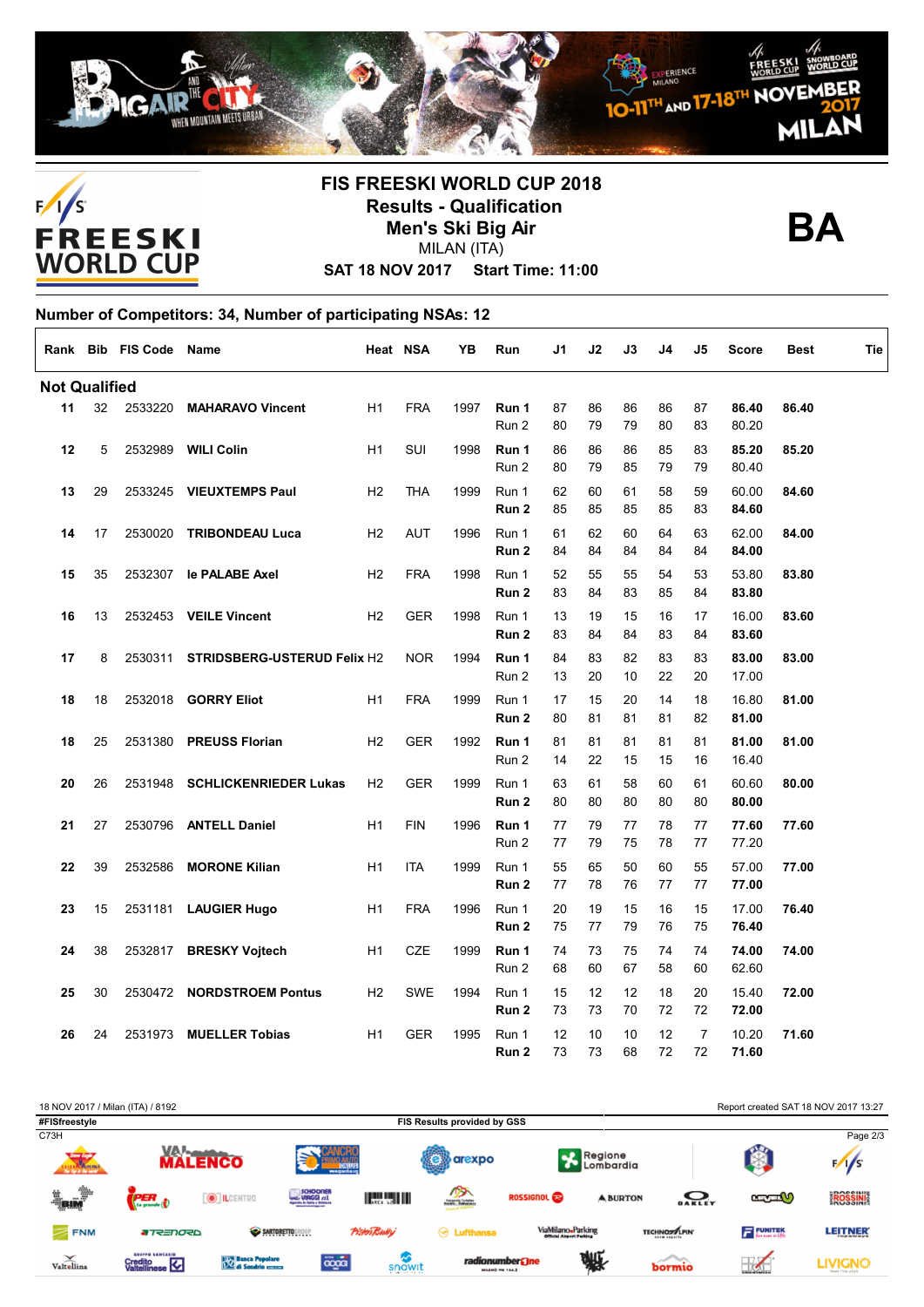



## **FIS FREESKI WORLD CUP 2018 Results - Qualification Men's Ski Big Air** MILAN (ITA)



**SAT 18 NOV 2017 Start Time: 11:00**

| Number of Competitors: 34, Number of participating NSAs: 12 |    |                        |                                    |                |            |      |                |          |          |          |          |                      |                |             |     |
|-------------------------------------------------------------|----|------------------------|------------------------------------|----------------|------------|------|----------------|----------|----------|----------|----------|----------------------|----------------|-------------|-----|
|                                                             |    | Rank Bib FIS Code Name |                                    |                | Heat NSA   | YB   | Run            | J1       | J2       | J3       | J4       | J5                   | <b>Score</b>   | <b>Best</b> | Tie |
| <b>Not Qualified</b>                                        |    |                        |                                    |                |            |      |                |          |          |          |          |                      |                |             |     |
| 11                                                          | 32 | 2533220                | <b>MAHARAVO Vincent</b>            | H1             | <b>FRA</b> | 1997 | Run 1<br>Run 2 | 87<br>80 | 86<br>79 | 86<br>79 | 86<br>80 | 87<br>83             | 86.40<br>80.20 | 86.40       |     |
| 12                                                          | 5  | 2532989                | <b>WILI Colin</b>                  | H1             | SUI        | 1998 | Run 1<br>Run 2 | 86<br>80 | 86<br>79 | 86<br>85 | 85<br>79 | 83<br>79             | 85.20<br>80.40 | 85.20       |     |
| 13                                                          | 29 | 2533245                | <b>VIEUXTEMPS Paul</b>             | H2             | <b>THA</b> | 1999 | Run 1<br>Run 2 | 62<br>85 | 60<br>85 | 61<br>85 | 58<br>85 | 59<br>83             | 60.00<br>84.60 | 84.60       |     |
| 14                                                          | 17 | 2530020                | <b>TRIBONDEAU Luca</b>             | H2             | <b>AUT</b> | 1996 | Run 1<br>Run 2 | 61<br>84 | 62<br>84 | 60<br>84 | 64<br>84 | 63<br>84             | 62.00<br>84.00 | 84.00       |     |
| 15                                                          | 35 | 2532307                | le PALABE Axel                     | H <sub>2</sub> | <b>FRA</b> | 1998 | Run 1<br>Run 2 | 52<br>83 | 55<br>84 | 55<br>83 | 54<br>85 | 53<br>84             | 53.80<br>83.80 | 83.80       |     |
| 16                                                          | 13 | 2532453                | <b>VEILE Vincent</b>               | H2             | <b>GER</b> | 1998 | Run 1<br>Run 2 | 13<br>83 | 19<br>84 | 15<br>84 | 16<br>83 | 17<br>84             | 16.00<br>83.60 | 83.60       |     |
| 17                                                          | 8  | 2530311                | <b>STRIDSBERG-USTERUD Felix H2</b> |                | <b>NOR</b> | 1994 | Run 1<br>Run 2 | 84<br>13 | 83<br>20 | 82<br>10 | 83<br>22 | 83<br>20             | 83.00<br>17.00 | 83.00       |     |
| 18                                                          | 18 | 2532018                | <b>GORRY Eliot</b>                 | H1             | <b>FRA</b> | 1999 | Run 1<br>Run 2 | 17<br>80 | 15<br>81 | 20<br>81 | 14<br>81 | 18<br>82             | 16.80<br>81.00 | 81.00       |     |
| 18                                                          | 25 | 2531380                | <b>PREUSS Florian</b>              | H <sub>2</sub> | <b>GER</b> | 1992 | Run 1<br>Run 2 | 81<br>14 | 81<br>22 | 81<br>15 | 81<br>15 | 81<br>16             | 81.00<br>16.40 | 81.00       |     |
| 20                                                          | 26 | 2531948                | <b>SCHLICKENRIEDER Lukas</b>       | H <sub>2</sub> | <b>GER</b> | 1999 | Run 1<br>Run 2 | 63<br>80 | 61<br>80 | 58<br>80 | 60<br>80 | 61<br>80             | 60.60<br>80.00 | 80.00       |     |
| 21                                                          | 27 | 2530796                | <b>ANTELL Daniel</b>               | H <sub>1</sub> | <b>FIN</b> | 1996 | Run 1<br>Run 2 | 77<br>77 | 79<br>79 | 77<br>75 | 78<br>78 | 77<br>77             | 77.60<br>77.20 | 77.60       |     |
| 22                                                          | 39 | 2532586                | <b>MORONE Kilian</b>               | H1             | <b>ITA</b> | 1999 | Run 1<br>Run 2 | 55<br>77 | 65<br>78 | 50<br>76 | 60<br>77 | 55<br>77             | 57.00<br>77.00 | 77.00       |     |
| 23                                                          | 15 | 2531181                | <b>LAUGIER Hugo</b>                | H1             | <b>FRA</b> | 1996 | Run 1<br>Run 2 | 20<br>75 | 19<br>77 | 15<br>79 | 16<br>76 | 15<br>75             | 17.00<br>76.40 | 76.40       |     |
| 24                                                          | 38 | 2532817                | <b>BRESKY Vojtech</b>              | H1             | <b>CZE</b> | 1999 | Run 1<br>Run 2 | 74<br>68 | 73<br>60 | 75<br>67 | 74<br>58 | 74<br>60             | 74.00<br>62.60 | 74.00       |     |
| 25                                                          | 30 | 2530472                | <b>NORDSTROEM Pontus</b>           | H <sub>2</sub> | <b>SWE</b> | 1994 | Run 1<br>Run 2 | 15<br>73 | 12<br>73 | 12<br>70 | 18<br>72 | 20<br>72             | 15.40<br>72.00 | 72.00       |     |
| 26                                                          | 24 | 2531973                | <b>MUELLER Tobias</b>              | H1             | <b>GER</b> | 1995 | Run 1<br>Run 2 | 12<br>73 | 10<br>73 | 10<br>68 | 12<br>72 | $\overline{7}$<br>72 | 10.20<br>71.60 | 71.60       |     |